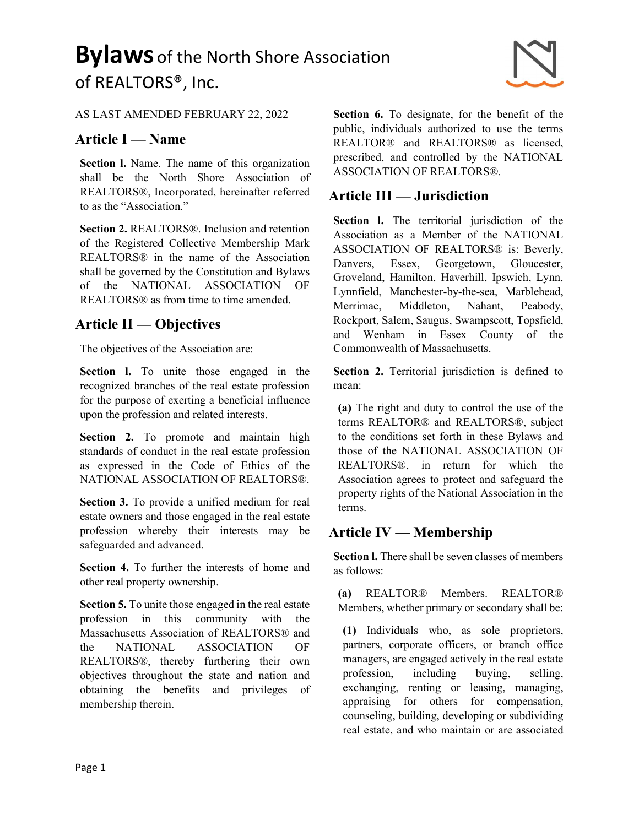#### AS LAST AMENDED FEBRUARY 22, 2022

#### Article I — Name

Section I. Name. The name of this organization shall be the North Shore Association of REALTORS®, Incorporated, hereinafter referred to as the "Association."

Section 2. REALTORS®. Inclusion and retention of the Registered Collective Membership Mark REALTORS® in the name of the Association shall be governed by the Constitution and Bylaws of the NATIONAL ASSOCIATION OF REALTORS® as from time to time amended.

#### Article II — Objectives

The objectives of the Association are:

Section 1. To unite those engaged in the recognized branches of the real estate profession for the purpose of exerting a beneficial influence upon the profession and related interests.

Section 2. To promote and maintain high standards of conduct in the real estate profession as expressed in the Code of Ethics of the NATIONAL ASSOCIATION OF REALTORS®.

Section 3. To provide a unified medium for real estate owners and those engaged in the real estate profession whereby their interests may be safeguarded and advanced.

Section 4. To further the interests of home and other real property ownership.

Section 5. To unite those engaged in the real estate profession in this community with the Massachusetts Association of REALTORS® and the NATIONAL ASSOCIATION OF REALTORS®, thereby furthering their own objectives throughout the state and nation and obtaining the benefits and privileges of membership therein.

Section 6. To designate, for the benefit of the public, individuals authorized to use the terms REALTOR® and REALTORS® as licensed, prescribed, and controlled by the NATIONAL ASSOCIATION OF REALTORS®.

#### Article III — Jurisdiction

Section I. The territorial jurisdiction of the Association as a Member of the NATIONAL ASSOCIATION OF REALTORS® is: Beverly, Danvers, Essex, Georgetown, Gloucester, Groveland, Hamilton, Haverhill, Ipswich, Lynn, Lynnfield, Manchester-by-the-sea, Marblehead, Merrimac, Middleton, Nahant, Peabody, Rockport, Salem, Saugus, Swampscott, Topsfield, and Wenham in Essex County of the Commonwealth of Massachusetts.

Section 2. Territorial jurisdiction is defined to mean:

(a) The right and duty to control the use of the terms REALTOR® and REALTORS®, subject to the conditions set forth in these Bylaws and those of the NATIONAL ASSOCIATION OF REALTORS®, in return for which the Association agrees to protect and safeguard the property rights of the National Association in the terms.

#### Article IV — Membership

Section I. There shall be seven classes of members as follows:

(a) REALTOR® Members. REALTOR® Members, whether primary or secondary shall be:

(1) Individuals who, as sole proprietors, partners, corporate officers, or branch office managers, are engaged actively in the real estate profession, including buying, selling, exchanging, renting or leasing, managing, appraising for others for compensation, counseling, building, developing or subdividing real estate, and who maintain or are associated

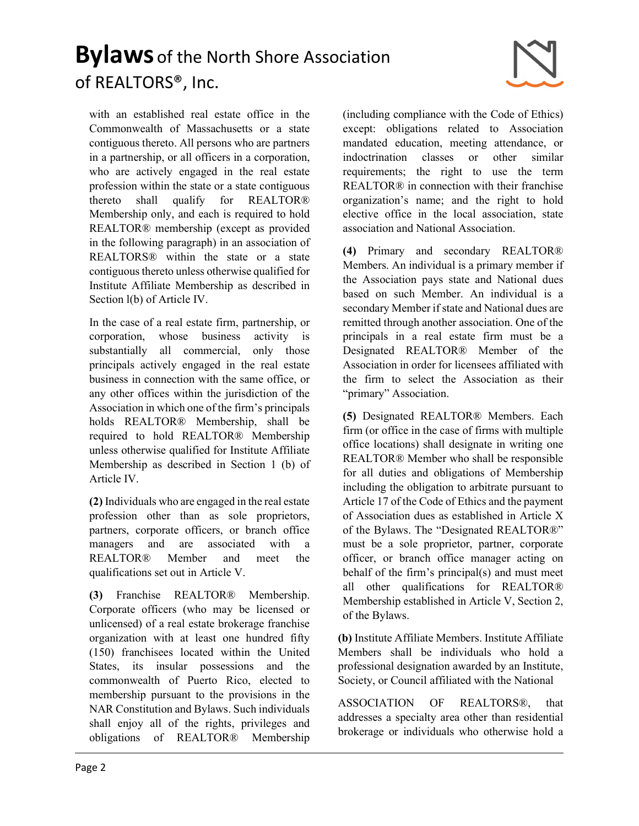with an established real estate office in the Commonwealth of Massachusetts or a state contiguous thereto. All persons who are partners in a partnership, or all officers in a corporation, who are actively engaged in the real estate profession within the state or a state contiguous thereto shall qualify for REALTOR® Membership only, and each is required to hold REALTOR® membership (except as provided in the following paragraph) in an association of REALTORS® within the state or a state contiguous thereto unless otherwise qualified for Institute Affiliate Membership as described in Section l(b) of Article IV.

In the case of a real estate firm, partnership, or corporation, whose business activity is substantially all commercial, only those principals actively engaged in the real estate business in connection with the same office, or any other offices within the jurisdiction of the Association in which one of the firm's principals holds REALTOR® Membership, shall be required to hold REALTOR® Membership unless otherwise qualified for Institute Affiliate Membership as described in Section 1 (b) of Article IV.

(2) Individuals who are engaged in the real estate profession other than as sole proprietors, partners, corporate officers, or branch office managers and are associated with a REALTOR® Member and meet the qualifications set out in Article V.

(3) Franchise REALTOR® Membership. Corporate officers (who may be licensed or unlicensed) of a real estate brokerage franchise organization with at least one hundred fifty (150) franchisees located within the United States, its insular possessions and the commonwealth of Puerto Rico, elected to membership pursuant to the provisions in the NAR Constitution and Bylaws. Such individuals shall enjoy all of the rights, privileges and obligations of REALTOR® Membership (including compliance with the Code of Ethics) except: obligations related to Association mandated education, meeting attendance, or indoctrination classes or other similar requirements; the right to use the term REALTOR® in connection with their franchise organization's name; and the right to hold elective office in the local association, state association and National Association.

(4) Primary and secondary REALTOR® Members. An individual is a primary member if the Association pays state and National dues based on such Member. An individual is a secondary Member if state and National dues are remitted through another association. One of the principals in a real estate firm must be a Designated REALTOR® Member of the Association in order for licensees affiliated with the firm to select the Association as their "primary" Association.

(5) Designated REALTOR® Members. Each firm (or office in the case of firms with multiple office locations) shall designate in writing one REALTOR® Member who shall be responsible for all duties and obligations of Membership including the obligation to arbitrate pursuant to Article 17 of the Code of Ethics and the payment of Association dues as established in Article X of the Bylaws. The "Designated REALTOR®" must be a sole proprietor, partner, corporate officer, or branch office manager acting on behalf of the firm's principal(s) and must meet all other qualifications for REALTOR® Membership established in Article V, Section 2, of the Bylaws.

(b) Institute Affiliate Members. Institute Affiliate Members shall be individuals who hold a professional designation awarded by an Institute, Society, or Council affiliated with the National

ASSOCIATION OF REALTORS®, that addresses a specialty area other than residential brokerage or individuals who otherwise hold a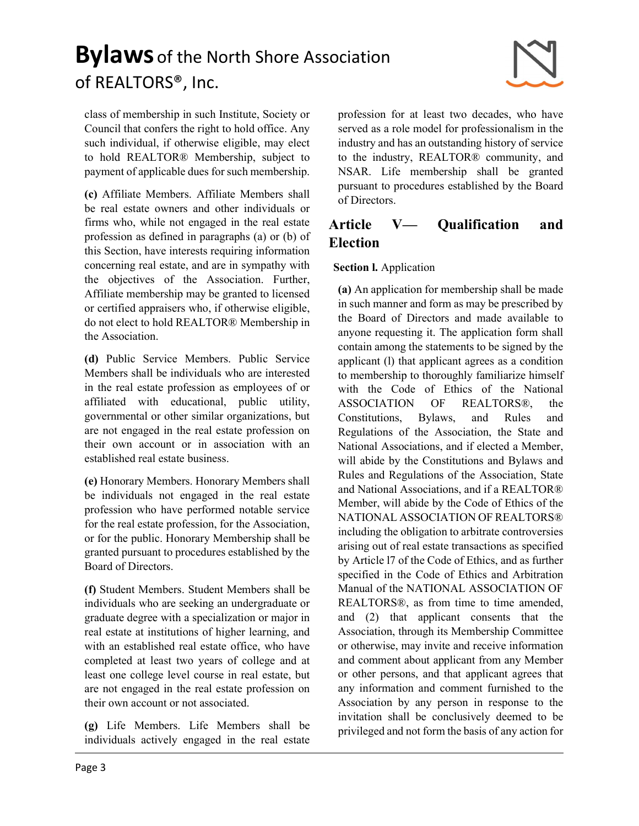class of membership in such Institute, Society or Council that confers the right to hold office. Any such individual, if otherwise eligible, may elect to hold REALTOR® Membership, subject to payment of applicable dues for such membership.

(c) Affiliate Members. Affiliate Members shall be real estate owners and other individuals or firms who, while not engaged in the real estate profession as defined in paragraphs (a) or (b) of this Section, have interests requiring information concerning real estate, and are in sympathy with the objectives of the Association. Further, Affiliate membership may be granted to licensed or certified appraisers who, if otherwise eligible, do not elect to hold REALTOR® Membership in the Association.

(d) Public Service Members. Public Service Members shall be individuals who are interested in the real estate profession as employees of or affiliated with educational, public utility, governmental or other similar organizations, but are not engaged in the real estate profession on their own account or in association with an established real estate business.

(e) Honorary Members. Honorary Members shall be individuals not engaged in the real estate profession who have performed notable service for the real estate profession, for the Association, or for the public. Honorary Membership shall be granted pursuant to procedures established by the Board of Directors.

(f) Student Members. Student Members shall be individuals who are seeking an undergraduate or graduate degree with a specialization or major in real estate at institutions of higher learning, and with an established real estate office, who have completed at least two years of college and at least one college level course in real estate, but are not engaged in the real estate profession on their own account or not associated.

(g) Life Members. Life Members shall be individuals actively engaged in the real estate

profession for at least two decades, who have served as a role model for professionalism in the industry and has an outstanding history of service to the industry, REALTOR® community, and NSAR. Life membership shall be granted pursuant to procedures established by the Board of Directors.

### Article V— Qualification and Election

#### Section l. Application

(a) An application for membership shall be made in such manner and form as may be prescribed by the Board of Directors and made available to anyone requesting it. The application form shall contain among the statements to be signed by the applicant (l) that applicant agrees as a condition to membership to thoroughly familiarize himself with the Code of Ethics of the National ASSOCIATION OF REALTORS®, the Constitutions, Bylaws, and Rules and Regulations of the Association, the State and National Associations, and if elected a Member, will abide by the Constitutions and Bylaws and Rules and Regulations of the Association, State and National Associations, and if a REALTOR® Member, will abide by the Code of Ethics of the NATIONAL ASSOCIATION OF REALTORS® including the obligation to arbitrate controversies arising out of real estate transactions as specified by Article l7 of the Code of Ethics, and as further specified in the Code of Ethics and Arbitration Manual of the NATIONAL ASSOCIATION OF REALTORS®, as from time to time amended, and (2) that applicant consents that the Association, through its Membership Committee or otherwise, may invite and receive information and comment about applicant from any Member or other persons, and that applicant agrees that any information and comment furnished to the Association by any person in response to the invitation shall be conclusively deemed to be privileged and not form the basis of any action for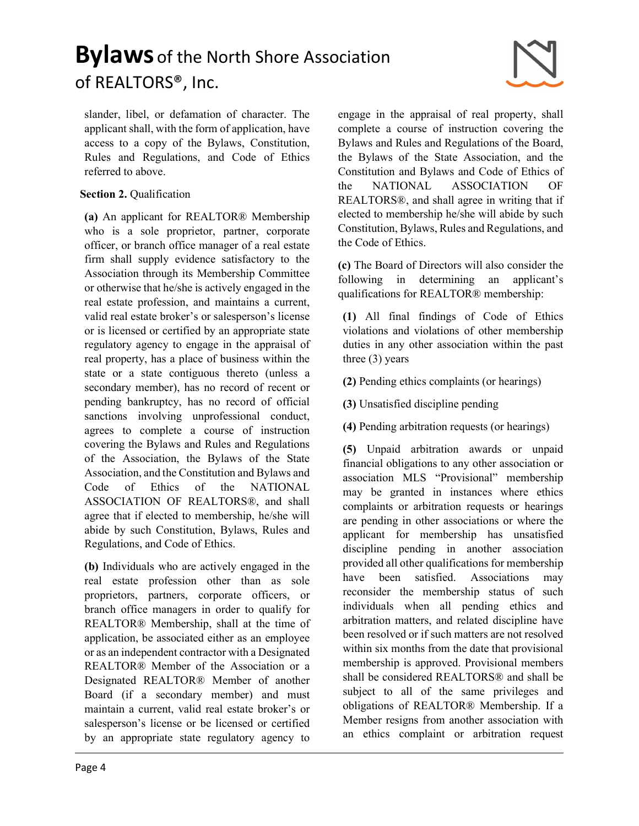slander, libel, or defamation of character. The applicant shall, with the form of application, have access to a copy of the Bylaws, Constitution, Rules and Regulations, and Code of Ethics referred to above.

#### Section 2. Qualification

(a) An applicant for REALTOR® Membership who is a sole proprietor, partner, corporate officer, or branch office manager of a real estate firm shall supply evidence satisfactory to the Association through its Membership Committee or otherwise that he/she is actively engaged in the real estate profession, and maintains a current, valid real estate broker's or salesperson's license or is licensed or certified by an appropriate state regulatory agency to engage in the appraisal of real property, has a place of business within the state or a state contiguous thereto (unless a secondary member), has no record of recent or pending bankruptcy, has no record of official sanctions involving unprofessional conduct, agrees to complete a course of instruction covering the Bylaws and Rules and Regulations of the Association, the Bylaws of the State Association, and the Constitution and Bylaws and Code of Ethics of the NATIONAL ASSOCIATION OF REALTORS®, and shall agree that if elected to membership, he/she will abide by such Constitution, Bylaws, Rules and Regulations, and Code of Ethics.

(b) Individuals who are actively engaged in the real estate profession other than as sole proprietors, partners, corporate officers, or branch office managers in order to qualify for REALTOR® Membership, shall at the time of application, be associated either as an employee or as an independent contractor with a Designated REALTOR® Member of the Association or a Designated REALTOR® Member of another Board (if a secondary member) and must maintain a current, valid real estate broker's or salesperson's license or be licensed or certified by an appropriate state regulatory agency to engage in the appraisal of real property, shall complete a course of instruction covering the Bylaws and Rules and Regulations of the Board, the Bylaws of the State Association, and the Constitution and Bylaws and Code of Ethics of the NATIONAL ASSOCIATION OF REALTORS®, and shall agree in writing that if elected to membership he/she will abide by such Constitution, Bylaws, Rules and Regulations, and the Code of Ethics.

(c) The Board of Directors will also consider the following in determining an applicant's qualifications for REALTOR® membership:

(1) All final findings of Code of Ethics violations and violations of other membership duties in any other association within the past three (3) years

- (2) Pending ethics complaints (or hearings)
- (3) Unsatisfied discipline pending
- (4) Pending arbitration requests (or hearings)

(5) Unpaid arbitration awards or unpaid financial obligations to any other association or association MLS "Provisional" membership may be granted in instances where ethics complaints or arbitration requests or hearings are pending in other associations or where the applicant for membership has unsatisfied discipline pending in another association provided all other qualifications for membership have been satisfied. Associations may reconsider the membership status of such individuals when all pending ethics and arbitration matters, and related discipline have been resolved or if such matters are not resolved within six months from the date that provisional membership is approved. Provisional members shall be considered REALTORS® and shall be subject to all of the same privileges and obligations of REALTOR® Membership. If a Member resigns from another association with an ethics complaint or arbitration request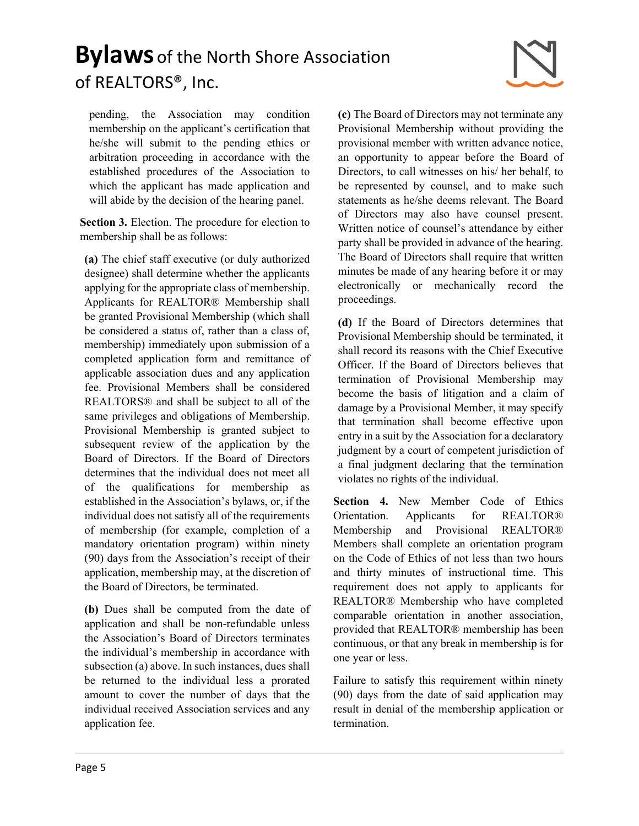

pending, the Association may condition membership on the applicant's certification that he/she will submit to the pending ethics or arbitration proceeding in accordance with the established procedures of the Association to which the applicant has made application and will abide by the decision of the hearing panel.

Section 3. Election. The procedure for election to membership shall be as follows:

(a) The chief staff executive (or duly authorized designee) shall determine whether the applicants applying for the appropriate class of membership. Applicants for REALTOR® Membership shall be granted Provisional Membership (which shall be considered a status of, rather than a class of, membership) immediately upon submission of a completed application form and remittance of applicable association dues and any application fee. Provisional Members shall be considered REALTORS® and shall be subject to all of the same privileges and obligations of Membership. Provisional Membership is granted subject to subsequent review of the application by the Board of Directors. If the Board of Directors determines that the individual does not meet all of the qualifications for membership as established in the Association's bylaws, or, if the individual does not satisfy all of the requirements of membership (for example, completion of a mandatory orientation program) within ninety (90) days from the Association's receipt of their application, membership may, at the discretion of the Board of Directors, be terminated.

(b) Dues shall be computed from the date of application and shall be non-refundable unless the Association's Board of Directors terminates the individual's membership in accordance with subsection (a) above. In such instances, dues shall be returned to the individual less a prorated amount to cover the number of days that the individual received Association services and any application fee.

(c) The Board of Directors may not terminate any Provisional Membership without providing the provisional member with written advance notice, an opportunity to appear before the Board of Directors, to call witnesses on his/ her behalf, to be represented by counsel, and to make such statements as he/she deems relevant. The Board of Directors may also have counsel present. Written notice of counsel's attendance by either party shall be provided in advance of the hearing. The Board of Directors shall require that written minutes be made of any hearing before it or may electronically or mechanically record the proceedings.

(d) If the Board of Directors determines that Provisional Membership should be terminated, it shall record its reasons with the Chief Executive Officer. If the Board of Directors believes that termination of Provisional Membership may become the basis of litigation and a claim of damage by a Provisional Member, it may specify that termination shall become effective upon entry in a suit by the Association for a declaratory judgment by a court of competent jurisdiction of a final judgment declaring that the termination violates no rights of the individual.

Section 4. New Member Code of Ethics Orientation. Applicants for REALTOR® Membership and Provisional REALTOR® Members shall complete an orientation program on the Code of Ethics of not less than two hours and thirty minutes of instructional time. This requirement does not apply to applicants for REALTOR® Membership who have completed comparable orientation in another association, provided that REALTOR® membership has been continuous, or that any break in membership is for one year or less.

Failure to satisfy this requirement within ninety (90) days from the date of said application may result in denial of the membership application or termination.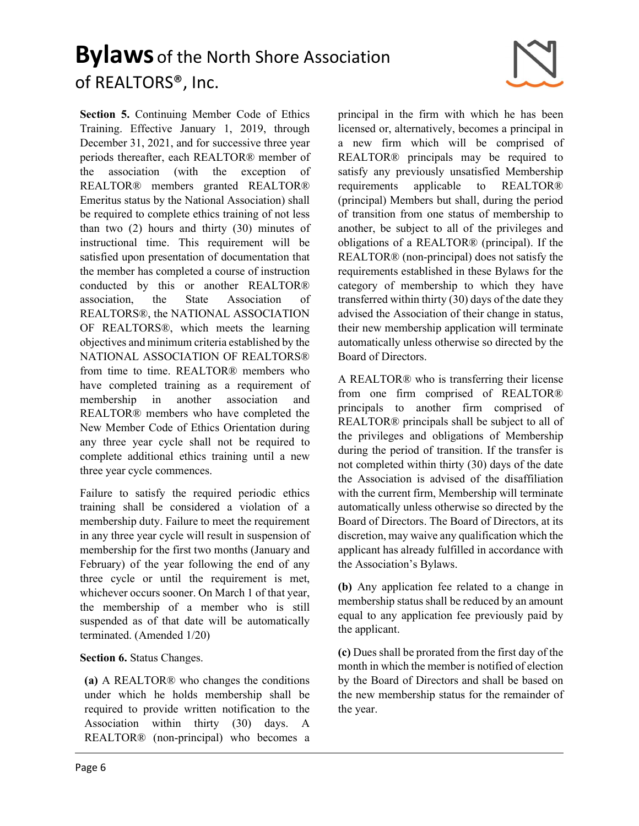

Section 5. Continuing Member Code of Ethics Training. Effective January 1, 2019, through December 31, 2021, and for successive three year periods thereafter, each REALTOR® member of the association (with the exception of REALTOR® members granted REALTOR® Emeritus status by the National Association) shall be required to complete ethics training of not less than two (2) hours and thirty (30) minutes of instructional time. This requirement will be satisfied upon presentation of documentation that the member has completed a course of instruction conducted by this or another REALTOR® association, the State Association of REALTORS®, the NATIONAL ASSOCIATION OF REALTORS®, which meets the learning objectives and minimum criteria established by the NATIONAL ASSOCIATION OF REALTORS® from time to time. REALTOR® members who have completed training as a requirement of membership in another association and REALTOR® members who have completed the New Member Code of Ethics Orientation during any three year cycle shall not be required to complete additional ethics training until a new three year cycle commences.

Failure to satisfy the required periodic ethics training shall be considered a violation of a membership duty. Failure to meet the requirement in any three year cycle will result in suspension of membership for the first two months (January and February) of the year following the end of any three cycle or until the requirement is met, whichever occurs sooner. On March 1 of that year, the membership of a member who is still suspended as of that date will be automatically terminated. (Amended 1/20)

Section 6. Status Changes.

(a) A REALTOR® who changes the conditions under which he holds membership shall be required to provide written notification to the Association within thirty (30) days. A REALTOR® (non-principal) who becomes a

principal in the firm with which he has been licensed or, alternatively, becomes a principal in a new firm which will be comprised of REALTOR® principals may be required to satisfy any previously unsatisfied Membership requirements applicable to REALTOR® (principal) Members but shall, during the period of transition from one status of membership to another, be subject to all of the privileges and obligations of a REALTOR® (principal). If the REALTOR® (non-principal) does not satisfy the requirements established in these Bylaws for the category of membership to which they have transferred within thirty (30) days of the date they advised the Association of their change in status, their new membership application will terminate automatically unless otherwise so directed by the Board of Directors.

A REALTOR® who is transferring their license from one firm comprised of REALTOR® principals to another firm comprised of REALTOR® principals shall be subject to all of the privileges and obligations of Membership during the period of transition. If the transfer is not completed within thirty (30) days of the date the Association is advised of the disaffiliation with the current firm, Membership will terminate automatically unless otherwise so directed by the Board of Directors. The Board of Directors, at its discretion, may waive any qualification which the applicant has already fulfilled in accordance with the Association's Bylaws.

(b) Any application fee related to a change in membership status shall be reduced by an amount equal to any application fee previously paid by the applicant.

(c) Dues shall be prorated from the first day of the month in which the member is notified of election by the Board of Directors and shall be based on the new membership status for the remainder of the year.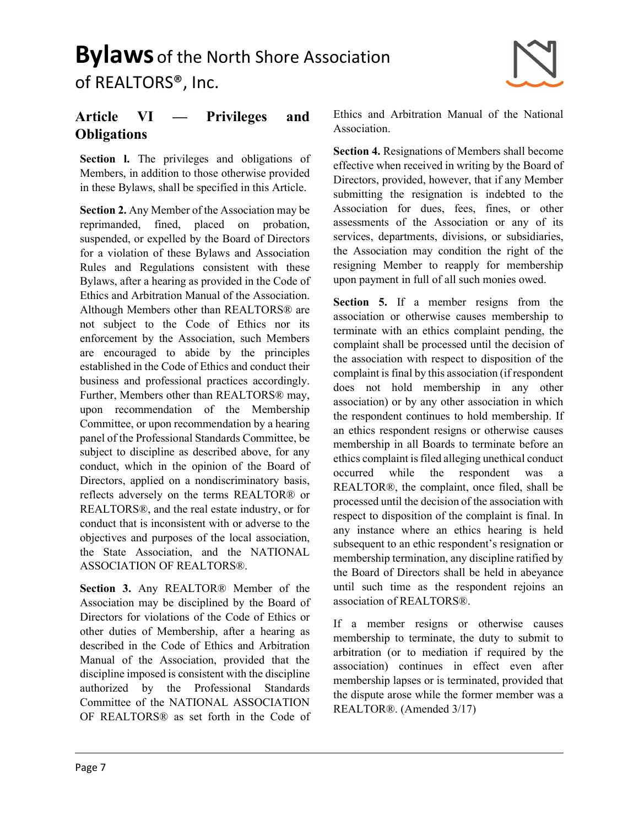

### Article VI — Privileges and **Obligations**

Section I. The privileges and obligations of Members, in addition to those otherwise provided in these Bylaws, shall be specified in this Article.

Section 2. Any Member of the Association may be reprimanded, fined, placed on probation, suspended, or expelled by the Board of Directors for a violation of these Bylaws and Association Rules and Regulations consistent with these Bylaws, after a hearing as provided in the Code of Ethics and Arbitration Manual of the Association. Although Members other than REALTORS® are not subject to the Code of Ethics nor its enforcement by the Association, such Members are encouraged to abide by the principles established in the Code of Ethics and conduct their business and professional practices accordingly. Further, Members other than REALTORS® may, upon recommendation of the Membership Committee, or upon recommendation by a hearing panel of the Professional Standards Committee, be subject to discipline as described above, for any conduct, which in the opinion of the Board of Directors, applied on a nondiscriminatory basis, reflects adversely on the terms REALTOR® or REALTORS®, and the real estate industry, or for conduct that is inconsistent with or adverse to the objectives and purposes of the local association, the State Association, and the NATIONAL ASSOCIATION OF REALTORS®.

Section 3. Any REALTOR® Member of the Association may be disciplined by the Board of Directors for violations of the Code of Ethics or other duties of Membership, after a hearing as described in the Code of Ethics and Arbitration Manual of the Association, provided that the discipline imposed is consistent with the discipline authorized by the Professional Standards Committee of the NATIONAL ASSOCIATION OF REALTORS® as set forth in the Code of Ethics and Arbitration Manual of the National Association.

Section 4. Resignations of Members shall become effective when received in writing by the Board of Directors, provided, however, that if any Member submitting the resignation is indebted to the Association for dues, fees, fines, or other assessments of the Association or any of its services, departments, divisions, or subsidiaries, the Association may condition the right of the resigning Member to reapply for membership upon payment in full of all such monies owed.

Section 5. If a member resigns from the association or otherwise causes membership to terminate with an ethics complaint pending, the complaint shall be processed until the decision of the association with respect to disposition of the complaint is final by this association (if respondent does not hold membership in any other association) or by any other association in which the respondent continues to hold membership. If an ethics respondent resigns or otherwise causes membership in all Boards to terminate before an ethics complaint is filed alleging unethical conduct occurred while the respondent was REALTOR®, the complaint, once filed, shall be processed until the decision of the association with respect to disposition of the complaint is final. In any instance where an ethics hearing is held subsequent to an ethic respondent's resignation or membership termination, any discipline ratified by the Board of Directors shall be held in abeyance until such time as the respondent rejoins an association of REALTORS®.

If a member resigns or otherwise causes membership to terminate, the duty to submit to arbitration (or to mediation if required by the association) continues in effect even after membership lapses or is terminated, provided that the dispute arose while the former member was a REALTOR®. (Amended 3/17)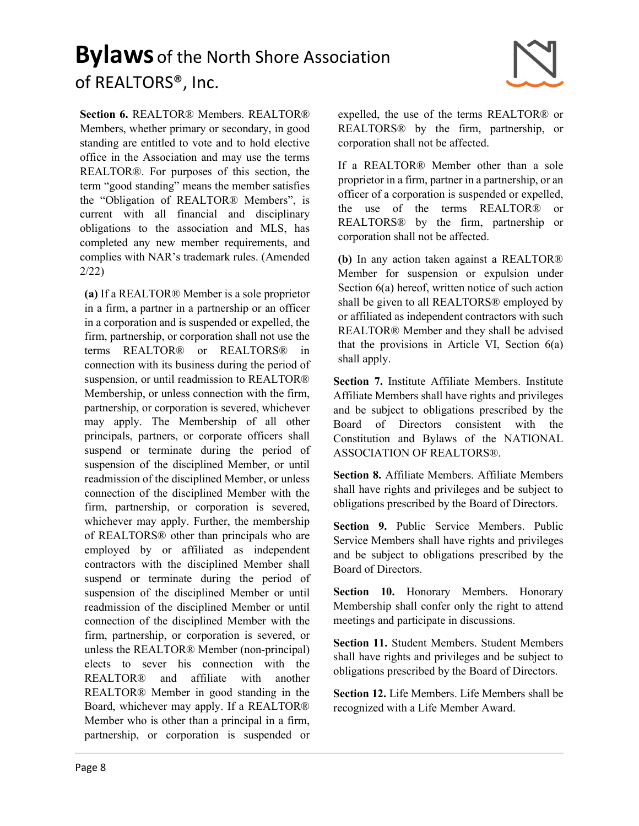

Section 6. REALTOR® Members. REALTOR® Members, whether primary or secondary, in good standing are entitled to vote and to hold elective office in the Association and may use the terms REALTOR®. For purposes of this section, the term "good standing" means the member satisfies the "Obligation of REALTOR® Members", is current with all financial and disciplinary obligations to the association and MLS, has completed any new member requirements, and complies with NAR's trademark rules. (Amended 2/22)

(a) If a REALTOR® Member is a sole proprietor in a firm, a partner in a partnership or an officer in a corporation and is suspended or expelled, the firm, partnership, or corporation shall not use the terms REALTOR® or REALTORS® in connection with its business during the period of suspension, or until readmission to REALTOR® Membership, or unless connection with the firm, partnership, or corporation is severed, whichever may apply. The Membership of all other principals, partners, or corporate officers shall suspend or terminate during the period of suspension of the disciplined Member, or until readmission of the disciplined Member, or unless connection of the disciplined Member with the firm, partnership, or corporation is severed, whichever may apply. Further, the membership of REALTORS® other than principals who are employed by or affiliated as independent contractors with the disciplined Member shall suspend or terminate during the period of suspension of the disciplined Member or until readmission of the disciplined Member or until connection of the disciplined Member with the firm, partnership, or corporation is severed, or unless the REALTOR® Member (non-principal) elects to sever his connection with the REALTOR® and affiliate with another REALTOR® Member in good standing in the Board, whichever may apply. If a REALTOR® Member who is other than a principal in a firm, partnership, or corporation is suspended or

expelled, the use of the terms REALTOR® or REALTORS® by the firm, partnership, or corporation shall not be affected.

If a REALTOR® Member other than a sole proprietor in a firm, partner in a partnership, or an officer of a corporation is suspended or expelled, the use of the terms REALTOR® or REALTORS® by the firm, partnership or corporation shall not be affected.

(b) In any action taken against a REALTOR® Member for suspension or expulsion under Section 6(a) hereof, written notice of such action shall be given to all REALTORS® employed by or affiliated as independent contractors with such REALTOR® Member and they shall be advised that the provisions in Article VI, Section 6(a) shall apply.

Section 7. Institute Affiliate Members. Institute Affiliate Members shall have rights and privileges and be subject to obligations prescribed by the Board of Directors consistent with the Constitution and Bylaws of the NATIONAL ASSOCIATION OF REALTORS®.

Section 8. Affiliate Members. Affiliate Members shall have rights and privileges and be subject to obligations prescribed by the Board of Directors.

Section 9. Public Service Members. Public Service Members shall have rights and privileges and be subject to obligations prescribed by the Board of Directors.

Section 10. Honorary Members. Honorary Membership shall confer only the right to attend meetings and participate in discussions.

Section 11. Student Members. Student Members shall have rights and privileges and be subject to obligations prescribed by the Board of Directors.

Section 12. Life Members. Life Members shall be recognized with a Life Member Award.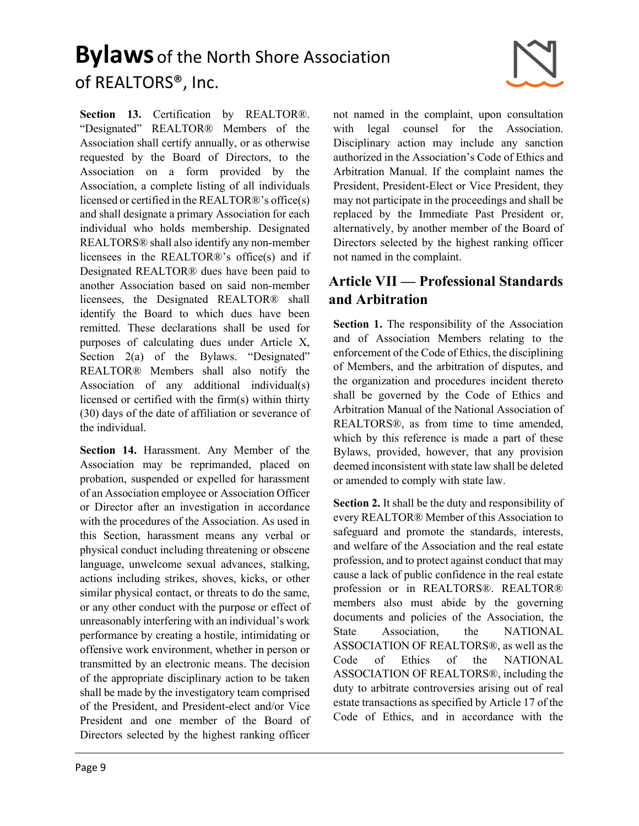

Section 13. Certification by REALTOR®. "Designated" REALTOR® Members of the Association shall certify annually, or as otherwise requested by the Board of Directors, to the Association on a form provided by the Association, a complete listing of all individuals licensed or certified in the REALTOR®'s office(s) and shall designate a primary Association for each individual who holds membership. Designated REALTORS® shall also identify any non-member licensees in the REALTOR®'s office(s) and if Designated REALTOR® dues have been paid to another Association based on said non-member licensees, the Designated REALTOR® shall identify the Board to which dues have been remitted. These declarations shall be used for purposes of calculating dues under Article X, Section 2(a) of the Bylaws. "Designated" REALTOR® Members shall also notify the Association of any additional individual(s) licensed or certified with the firm(s) within thirty (30) days of the date of affiliation or severance of the individual.

Section 14. Harassment. Any Member of the Association may be reprimanded, placed on probation, suspended or expelled for harassment of an Association employee or Association Officer or Director after an investigation in accordance with the procedures of the Association. As used in this Section, harassment means any verbal or physical conduct including threatening or obscene language, unwelcome sexual advances, stalking, actions including strikes, shoves, kicks, or other similar physical contact, or threats to do the same, or any other conduct with the purpose or effect of unreasonably interfering with an individual's work performance by creating a hostile, intimidating or offensive work environment, whether in person or transmitted by an electronic means. The decision of the appropriate disciplinary action to be taken shall be made by the investigatory team comprised of the President, and President-elect and/or Vice President and one member of the Board of Directors selected by the highest ranking officer

not named in the complaint, upon consultation with legal counsel for the Association. Disciplinary action may include any sanction authorized in the Association's Code of Ethics and Arbitration Manual. If the complaint names the President, President-Elect or Vice President, they may not participate in the proceedings and shall be replaced by the Immediate Past President or, alternatively, by another member of the Board of Directors selected by the highest ranking officer not named in the complaint.

#### Article VII — Professional Standards and Arbitration

Section 1. The responsibility of the Association and of Association Members relating to the enforcement of the Code of Ethics, the disciplining of Members, and the arbitration of disputes, and the organization and procedures incident thereto shall be governed by the Code of Ethics and Arbitration Manual of the National Association of REALTORS®, as from time to time amended, which by this reference is made a part of these Bylaws, provided, however, that any provision deemed inconsistent with state law shall be deleted or amended to comply with state law.

Section 2. It shall be the duty and responsibility of every REALTOR® Member of this Association to safeguard and promote the standards, interests, and welfare of the Association and the real estate profession, and to protect against conduct that may cause a lack of public confidence in the real estate profession or in REALTORS®. REALTOR® members also must abide by the governing documents and policies of the Association, the State Association, the NATIONAL ASSOCIATION OF REALTORS®, as well as the Code of Ethics of the NATIONAL ASSOCIATION OF REALTORS®, including the duty to arbitrate controversies arising out of real estate transactions as specified by Article 17 of the Code of Ethics, and in accordance with the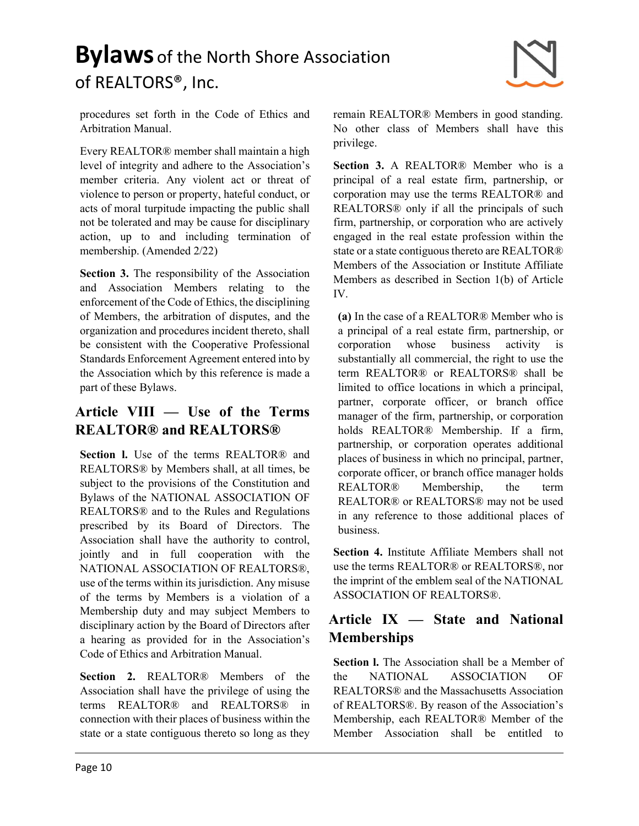

procedures set forth in the Code of Ethics and Arbitration Manual.

Every REALTOR® member shall maintain a high level of integrity and adhere to the Association's member criteria. Any violent act or threat of violence to person or property, hateful conduct, or acts of moral turpitude impacting the public shall not be tolerated and may be cause for disciplinary action, up to and including termination of membership. (Amended 2/22)

Section 3. The responsibility of the Association and Association Members relating to the enforcement of the Code of Ethics, the disciplining of Members, the arbitration of disputes, and the organization and procedures incident thereto, shall be consistent with the Cooperative Professional Standards Enforcement Agreement entered into by the Association which by this reference is made a part of these Bylaws.

#### Article VIII — Use of the Terms REALTOR® and REALTORS®

Section I. Use of the terms REALTOR<sup>®</sup> and REALTORS® by Members shall, at all times, be subject to the provisions of the Constitution and Bylaws of the NATIONAL ASSOCIATION OF REALTORS® and to the Rules and Regulations prescribed by its Board of Directors. The Association shall have the authority to control, jointly and in full cooperation with the NATIONAL ASSOCIATION OF REALTORS®, use of the terms within its jurisdiction. Any misuse of the terms by Members is a violation of a Membership duty and may subject Members to disciplinary action by the Board of Directors after a hearing as provided for in the Association's Code of Ethics and Arbitration Manual.

Section 2. REALTOR® Members of the Association shall have the privilege of using the terms REALTOR® and REALTORS® in connection with their places of business within the state or a state contiguous thereto so long as they remain REALTOR® Members in good standing. No other class of Members shall have this privilege.

Section 3. A REALTOR® Member who is a principal of a real estate firm, partnership, or corporation may use the terms REALTOR® and REALTORS® only if all the principals of such firm, partnership, or corporation who are actively engaged in the real estate profession within the state or a state contiguous thereto are REALTOR® Members of the Association or Institute Affiliate Members as described in Section 1(b) of Article IV.

(a) In the case of a REALTOR® Member who is a principal of a real estate firm, partnership, or corporation whose business activity is substantially all commercial, the right to use the term REALTOR® or REALTORS® shall be limited to office locations in which a principal, partner, corporate officer, or branch office manager of the firm, partnership, or corporation holds REALTOR® Membership. If a firm, partnership, or corporation operates additional places of business in which no principal, partner, corporate officer, or branch office manager holds REALTOR® Membership, the term REALTOR® or REALTORS® may not be used in any reference to those additional places of business.

Section 4. Institute Affiliate Members shall not use the terms REALTOR® or REALTORS®, nor the imprint of the emblem seal of the NATIONAL ASSOCIATION OF REALTORS®.

### Article IX — State and National Memberships

Section l. The Association shall be a Member of the NATIONAL ASSOCIATION OF REALTORS® and the Massachusetts Association of REALTORS®. By reason of the Association's Membership, each REALTOR® Member of the Member Association shall be entitled to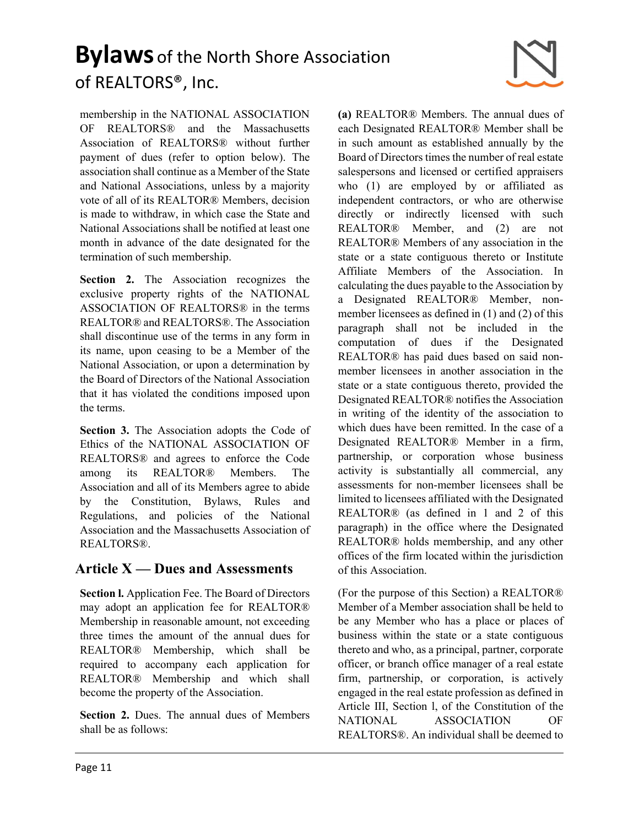

membership in the NATIONAL ASSOCIATION OF REALTORS® and the Massachusetts Association of REALTORS® without further payment of dues (refer to option below). The association shall continue as a Member of the State and National Associations, unless by a majority vote of all of its REALTOR® Members, decision is made to withdraw, in which case the State and National Associations shall be notified at least one month in advance of the date designated for the termination of such membership.

Section 2. The Association recognizes the exclusive property rights of the NATIONAL ASSOCIATION OF REALTORS® in the terms REALTOR® and REALTORS®. The Association shall discontinue use of the terms in any form in its name, upon ceasing to be a Member of the National Association, or upon a determination by the Board of Directors of the National Association that it has violated the conditions imposed upon the terms.

Section 3. The Association adopts the Code of Ethics of the NATIONAL ASSOCIATION OF REALTORS® and agrees to enforce the Code among its REALTOR® Members. The Association and all of its Members agree to abide by the Constitution, Bylaws, Rules and Regulations, and policies of the National Association and the Massachusetts Association of REALTORS®.

#### Article  $X - D$ ues and Assessments

Section l. Application Fee. The Board of Directors may adopt an application fee for REALTOR® Membership in reasonable amount, not exceeding three times the amount of the annual dues for REALTOR® Membership, which shall be required to accompany each application for REALTOR® Membership and which shall become the property of the Association.

Section 2. Dues. The annual dues of Members shall be as follows:

(a) REALTOR® Members. The annual dues of each Designated REALTOR® Member shall be in such amount as established annually by the Board of Directors times the number of real estate salespersons and licensed or certified appraisers who (1) are employed by or affiliated as independent contractors, or who are otherwise directly or indirectly licensed with such REALTOR® Member, and (2) are not REALTOR® Members of any association in the state or a state contiguous thereto or Institute Affiliate Members of the Association. In calculating the dues payable to the Association by a Designated REALTOR® Member, nonmember licensees as defined in (1) and (2) of this paragraph shall not be included in the computation of dues if the Designated REALTOR® has paid dues based on said nonmember licensees in another association in the state or a state contiguous thereto, provided the Designated REALTOR® notifies the Association in writing of the identity of the association to which dues have been remitted. In the case of a Designated REALTOR® Member in a firm, partnership, or corporation whose business activity is substantially all commercial, any assessments for non-member licensees shall be limited to licensees affiliated with the Designated REALTOR® (as defined in 1 and 2 of this paragraph) in the office where the Designated REALTOR® holds membership, and any other offices of the firm located within the jurisdiction of this Association.

(For the purpose of this Section) a REALTOR® Member of a Member association shall be held to be any Member who has a place or places of business within the state or a state contiguous thereto and who, as a principal, partner, corporate officer, or branch office manager of a real estate firm, partnership, or corporation, is actively engaged in the real estate profession as defined in Article III, Section l, of the Constitution of the NATIONAL ASSOCIATION OF REALTORS®. An individual shall be deemed to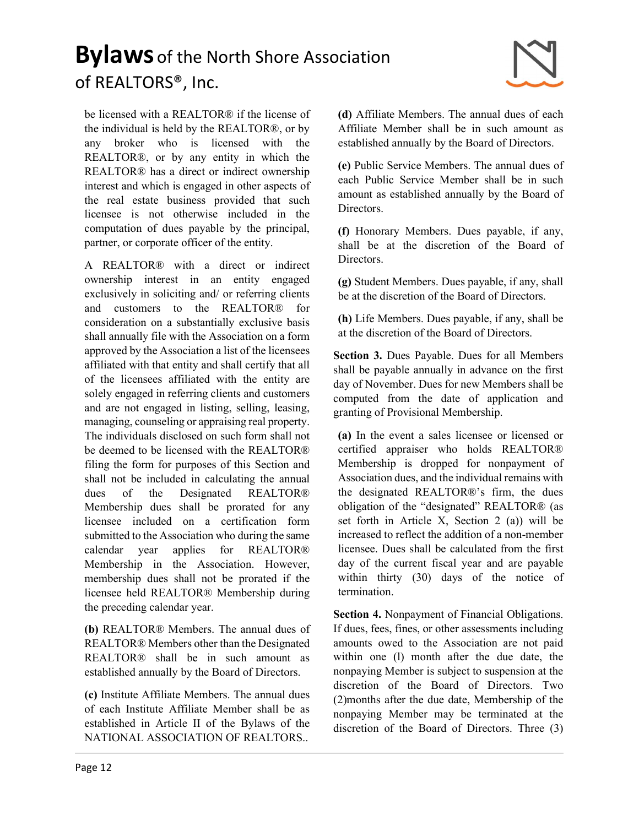

be licensed with a REALTOR® if the license of the individual is held by the REALTOR®, or by any broker who is licensed with the REALTOR®, or by any entity in which the REALTOR® has a direct or indirect ownership interest and which is engaged in other aspects of the real estate business provided that such licensee is not otherwise included in the computation of dues payable by the principal, partner, or corporate officer of the entity.

A REALTOR® with a direct or indirect ownership interest in an entity engaged exclusively in soliciting and/ or referring clients and customers to the REALTOR® for consideration on a substantially exclusive basis shall annually file with the Association on a form approved by the Association a list of the licensees affiliated with that entity and shall certify that all of the licensees affiliated with the entity are solely engaged in referring clients and customers and are not engaged in listing, selling, leasing, managing, counseling or appraising real property. The individuals disclosed on such form shall not be deemed to be licensed with the REALTOR® filing the form for purposes of this Section and shall not be included in calculating the annual dues of the Designated REALTOR® Membership dues shall be prorated for any licensee included on a certification form submitted to the Association who during the same calendar year applies for REALTOR® Membership in the Association. However, membership dues shall not be prorated if the licensee held REALTOR® Membership during the preceding calendar year.

(b) REALTOR® Members. The annual dues of REALTOR® Members other than the Designated REALTOR® shall be in such amount as established annually by the Board of Directors.

(c) Institute Affiliate Members. The annual dues of each Institute Affiliate Member shall be as established in Article II of the Bylaws of the NATIONAL ASSOCIATION OF REALTORS..

(d) Affiliate Members. The annual dues of each Affiliate Member shall be in such amount as established annually by the Board of Directors.

(e) Public Service Members. The annual dues of each Public Service Member shall be in such amount as established annually by the Board of Directors.

(f) Honorary Members. Dues payable, if any, shall be at the discretion of the Board of Directors.

(g) Student Members. Dues payable, if any, shall be at the discretion of the Board of Directors.

(h) Life Members. Dues payable, if any, shall be at the discretion of the Board of Directors.

Section 3. Dues Payable. Dues for all Members shall be payable annually in advance on the first day of November. Dues for new Members shall be computed from the date of application and granting of Provisional Membership.

(a) In the event a sales licensee or licensed or certified appraiser who holds REALTOR® Membership is dropped for nonpayment of Association dues, and the individual remains with the designated REALTOR®'s firm, the dues obligation of the "designated" REALTOR® (as set forth in Article X, Section 2 (a)) will be increased to reflect the addition of a non-member licensee. Dues shall be calculated from the first day of the current fiscal year and are payable within thirty (30) days of the notice of termination.

Section 4. Nonpayment of Financial Obligations. If dues, fees, fines, or other assessments including amounts owed to the Association are not paid within one (l) month after the due date, the nonpaying Member is subject to suspension at the discretion of the Board of Directors. Two (2)months after the due date, Membership of the nonpaying Member may be terminated at the discretion of the Board of Directors. Three (3)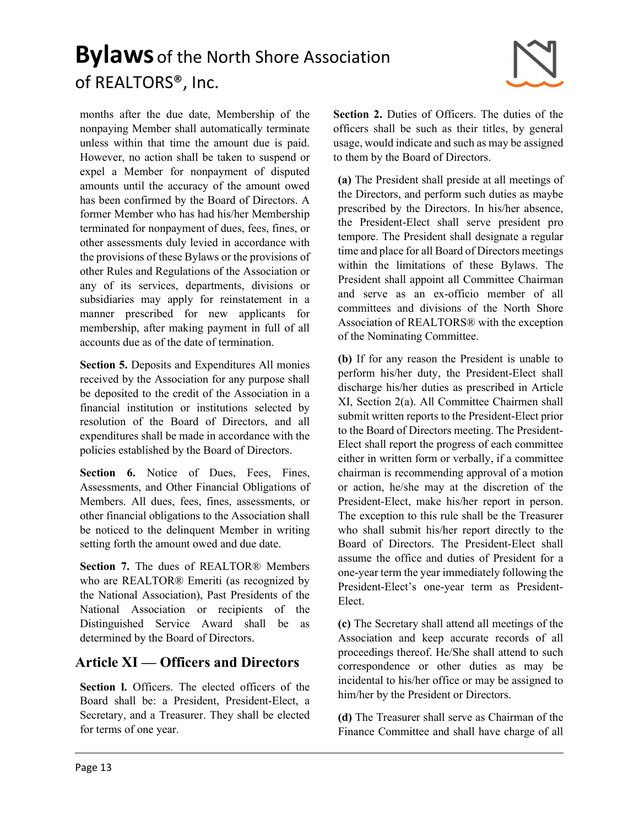months after the due date, Membership of the nonpaying Member shall automatically terminate unless within that time the amount due is paid. However, no action shall be taken to suspend or expel a Member for nonpayment of disputed amounts until the accuracy of the amount owed has been confirmed by the Board of Directors. A former Member who has had his/her Membership terminated for nonpayment of dues, fees, fines, or other assessments duly levied in accordance with the provisions of these Bylaws or the provisions of other Rules and Regulations of the Association or any of its services, departments, divisions or subsidiaries may apply for reinstatement in a manner prescribed for new applicants for membership, after making payment in full of all accounts due as of the date of termination.

Section 5. Deposits and Expenditures All monies received by the Association for any purpose shall be deposited to the credit of the Association in a financial institution or institutions selected by resolution of the Board of Directors, and all expenditures shall be made in accordance with the policies established by the Board of Directors.

Section 6. Notice of Dues, Fees, Fines, Assessments, and Other Financial Obligations of Members. All dues, fees, fines, assessments, or other financial obligations to the Association shall be noticed to the delinquent Member in writing setting forth the amount owed and due date.

Section 7. The dues of REALTOR® Members who are REALTOR® Emeriti (as recognized by the National Association), Past Presidents of the National Association or recipients of the Distinguished Service Award shall be as determined by the Board of Directors.

#### Article XI — Officers and Directors

Section I. Officers. The elected officers of the Board shall be: a President, President-Elect, a Secretary, and a Treasurer. They shall be elected for terms of one year.

Section 2. Duties of Officers. The duties of the officers shall be such as their titles, by general usage, would indicate and such as may be assigned to them by the Board of Directors.

(a) The President shall preside at all meetings of the Directors, and perform such duties as maybe prescribed by the Directors. In his/her absence, the President-Elect shall serve president pro tempore. The President shall designate a regular time and place for all Board of Directors meetings within the limitations of these Bylaws. The President shall appoint all Committee Chairman and serve as an ex-officio member of all committees and divisions of the North Shore Association of REALTORS® with the exception of the Nominating Committee.

(b) If for any reason the President is unable to perform his/her duty, the President-Elect shall discharge his/her duties as prescribed in Article XI, Section 2(a). All Committee Chairmen shall submit written reports to the President-Elect prior to the Board of Directors meeting. The President-Elect shall report the progress of each committee either in written form or verbally, if a committee chairman is recommending approval of a motion or action, he/she may at the discretion of the President-Elect, make his/her report in person. The exception to this rule shall be the Treasurer who shall submit his/her report directly to the Board of Directors. The President-Elect shall assume the office and duties of President for a one-year term the year immediately following the President-Elect's one-year term as President-Elect.

(c) The Secretary shall attend all meetings of the Association and keep accurate records of all proceedings thereof. He/She shall attend to such correspondence or other duties as may be incidental to his/her office or may be assigned to him/her by the President or Directors.

(d) The Treasurer shall serve as Chairman of the Finance Committee and shall have charge of all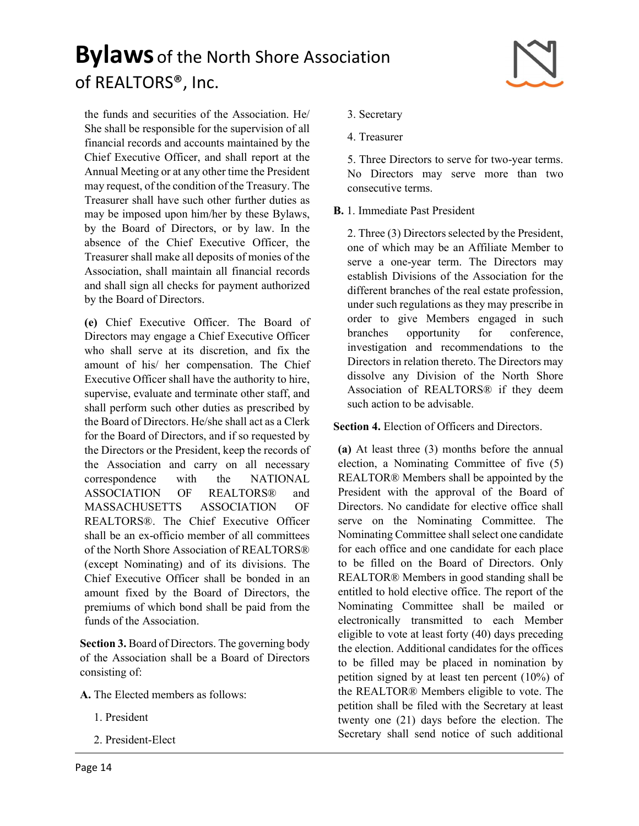

the funds and securities of the Association. He/ She shall be responsible for the supervision of all financial records and accounts maintained by the Chief Executive Officer, and shall report at the Annual Meeting or at any other time the President may request, of the condition of the Treasury. The Treasurer shall have such other further duties as may be imposed upon him/her by these Bylaws, by the Board of Directors, or by law. In the absence of the Chief Executive Officer, the Treasurer shall make all deposits of monies of the Association, shall maintain all financial records and shall sign all checks for payment authorized by the Board of Directors.

(e) Chief Executive Officer. The Board of Directors may engage a Chief Executive Officer who shall serve at its discretion, and fix the amount of his/ her compensation. The Chief Executive Officer shall have the authority to hire, supervise, evaluate and terminate other staff, and shall perform such other duties as prescribed by the Board of Directors. He/she shall act as a Clerk for the Board of Directors, and if so requested by the Directors or the President, keep the records of the Association and carry on all necessary correspondence with the NATIONAL ASSOCIATION OF REALTORS® and MASSACHUSETTS ASSOCIATION OF REALTORS®. The Chief Executive Officer shall be an ex-officio member of all committees of the North Shore Association of REALTORS® (except Nominating) and of its divisions. The Chief Executive Officer shall be bonded in an amount fixed by the Board of Directors, the premiums of which bond shall be paid from the funds of the Association.

Section 3. Board of Directors. The governing body of the Association shall be a Board of Directors consisting of:

A. The Elected members as follows:

- 1. President
- 2. President-Elect
- 3. Secretary
- 4. Treasurer

5. Three Directors to serve for two-year terms. No Directors may serve more than two consecutive terms.

B. 1. Immediate Past President

2. Three (3) Directors selected by the President, one of which may be an Affiliate Member to serve a one-year term. The Directors may establish Divisions of the Association for the different branches of the real estate profession, under such regulations as they may prescribe in order to give Members engaged in such branches opportunity for conference, investigation and recommendations to the Directors in relation thereto. The Directors may dissolve any Division of the North Shore Association of REALTORS® if they deem such action to be advisable.

Section 4. Election of Officers and Directors.

(a) At least three (3) months before the annual election, a Nominating Committee of five (5) REALTOR® Members shall be appointed by the President with the approval of the Board of Directors. No candidate for elective office shall serve on the Nominating Committee. The Nominating Committee shall select one candidate for each office and one candidate for each place to be filled on the Board of Directors. Only REALTOR® Members in good standing shall be entitled to hold elective office. The report of the Nominating Committee shall be mailed or electronically transmitted to each Member eligible to vote at least forty (40) days preceding the election. Additional candidates for the offices to be filled may be placed in nomination by petition signed by at least ten percent (10%) of the REALTOR® Members eligible to vote. The petition shall be filed with the Secretary at least twenty one (21) days before the election. The Secretary shall send notice of such additional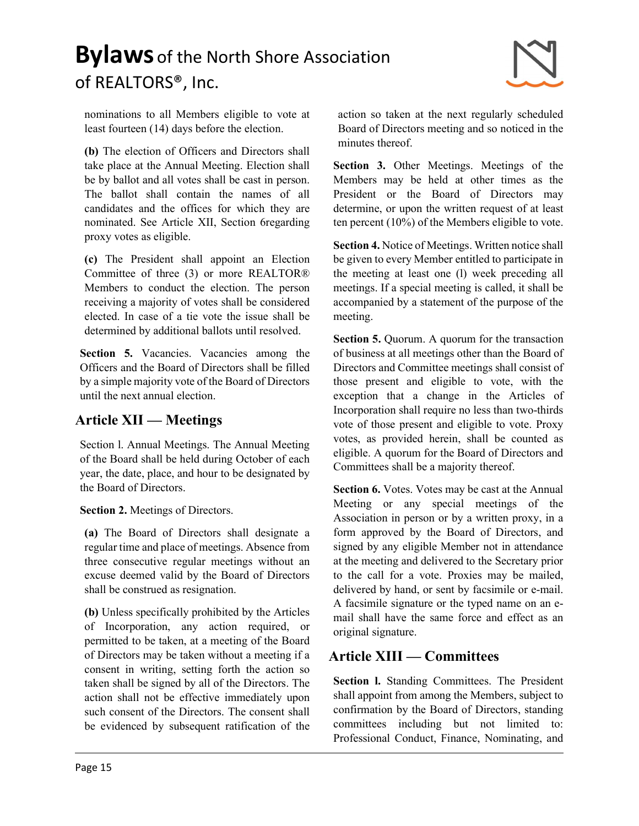

nominations to all Members eligible to vote at least fourteen (14) days before the election.

(b) The election of Officers and Directors shall take place at the Annual Meeting. Election shall be by ballot and all votes shall be cast in person. The ballot shall contain the names of all candidates and the offices for which they are nominated. See Article XII, Section 6regarding proxy votes as eligible.

(c) The President shall appoint an Election Committee of three (3) or more REALTOR® Members to conduct the election. The person receiving a majority of votes shall be considered elected. In case of a tie vote the issue shall be determined by additional ballots until resolved.

Section 5. Vacancies. Vacancies among the Officers and the Board of Directors shall be filled by a simple majority vote of the Board of Directors until the next annual election.

#### Article XII — Meetings

Section l. Annual Meetings. The Annual Meeting of the Board shall be held during October of each year, the date, place, and hour to be designated by the Board of Directors.

Section 2. Meetings of Directors.

(a) The Board of Directors shall designate a regular time and place of meetings. Absence from three consecutive regular meetings without an excuse deemed valid by the Board of Directors shall be construed as resignation.

(b) Unless specifically prohibited by the Articles of Incorporation, any action required, or permitted to be taken, at a meeting of the Board of Directors may be taken without a meeting if a consent in writing, setting forth the action so taken shall be signed by all of the Directors. The action shall not be effective immediately upon such consent of the Directors. The consent shall be evidenced by subsequent ratification of the

action so taken at the next regularly scheduled Board of Directors meeting and so noticed in the minutes thereof.

Section 3. Other Meetings. Meetings of the Members may be held at other times as the President or the Board of Directors may determine, or upon the written request of at least ten percent (10%) of the Members eligible to vote.

Section 4. Notice of Meetings. Written notice shall be given to every Member entitled to participate in the meeting at least one (l) week preceding all meetings. If a special meeting is called, it shall be accompanied by a statement of the purpose of the meeting.

Section 5. Quorum. A quorum for the transaction of business at all meetings other than the Board of Directors and Committee meetings shall consist of those present and eligible to vote, with the exception that a change in the Articles of Incorporation shall require no less than two-thirds vote of those present and eligible to vote. Proxy votes, as provided herein, shall be counted as eligible. A quorum for the Board of Directors and Committees shall be a majority thereof.

Section 6. Votes. Votes may be cast at the Annual Meeting or any special meetings of the Association in person or by a written proxy, in a form approved by the Board of Directors, and signed by any eligible Member not in attendance at the meeting and delivered to the Secretary prior to the call for a vote. Proxies may be mailed, delivered by hand, or sent by facsimile or e-mail. A facsimile signature or the typed name on an email shall have the same force and effect as an original signature.

### Article XIII — Committees

Section l. Standing Committees. The President shall appoint from among the Members, subject to confirmation by the Board of Directors, standing committees including but not limited to: Professional Conduct, Finance, Nominating, and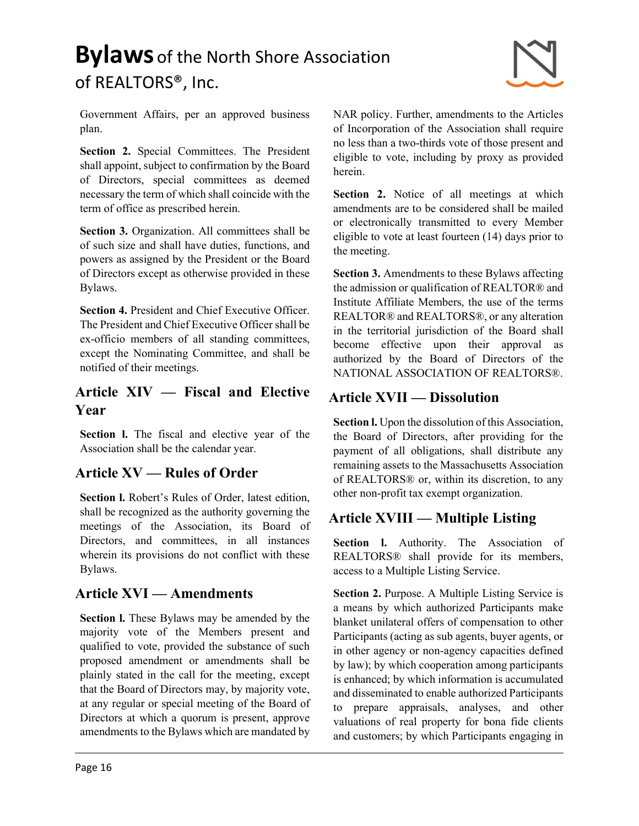Government Affairs, per an approved business plan.

Section 2. Special Committees. The President shall appoint, subject to confirmation by the Board of Directors, special committees as deemed necessary the term of which shall coincide with the term of office as prescribed herein.

Section 3. Organization. All committees shall be of such size and shall have duties, functions, and powers as assigned by the President or the Board of Directors except as otherwise provided in these Bylaws.

Section 4. President and Chief Executive Officer. The President and Chief Executive Officer shall be ex-officio members of all standing committees, except the Nominating Committee, and shall be notified of their meetings.

#### Article XIV — Fiscal and Elective Year

Section 1. The fiscal and elective year of the Association shall be the calendar year.

#### Article XV — Rules of Order

Section l. Robert's Rules of Order, latest edition, shall be recognized as the authority governing the meetings of the Association, its Board of Directors, and committees, in all instances wherein its provisions do not conflict with these Bylaws.

#### Article XVI — Amendments

Section l. These Bylaws may be amended by the majority vote of the Members present and qualified to vote, provided the substance of such proposed amendment or amendments shall be plainly stated in the call for the meeting, except that the Board of Directors may, by majority vote, at any regular or special meeting of the Board of Directors at which a quorum is present, approve amendments to the Bylaws which are mandated by

NAR policy. Further, amendments to the Articles of Incorporation of the Association shall require no less than a two-thirds vote of those present and eligible to vote, including by proxy as provided herein.

Section 2. Notice of all meetings at which amendments are to be considered shall be mailed or electronically transmitted to every Member eligible to vote at least fourteen (14) days prior to the meeting.

Section 3. Amendments to these Bylaws affecting the admission or qualification of REALTOR® and Institute Affiliate Members, the use of the terms REALTOR® and REALTORS®, or any alteration in the territorial jurisdiction of the Board shall become effective upon their approval as authorized by the Board of Directors of the NATIONAL ASSOCIATION OF REALTORS®.

### Article XVII — Dissolution

Section l. Upon the dissolution of this Association, the Board of Directors, after providing for the payment of all obligations, shall distribute any remaining assets to the Massachusetts Association of REALTORS® or, within its discretion, to any other non-profit tax exempt organization.

### Article XVIII — Multiple Listing

Section I. Authority. The Association of REALTORS® shall provide for its members, access to a Multiple Listing Service.

Section 2. Purpose. A Multiple Listing Service is a means by which authorized Participants make blanket unilateral offers of compensation to other Participants (acting as sub agents, buyer agents, or in other agency or non-agency capacities defined by law); by which cooperation among participants is enhanced; by which information is accumulated and disseminated to enable authorized Participants to prepare appraisals, analyses, and other valuations of real property for bona fide clients and customers; by which Participants engaging in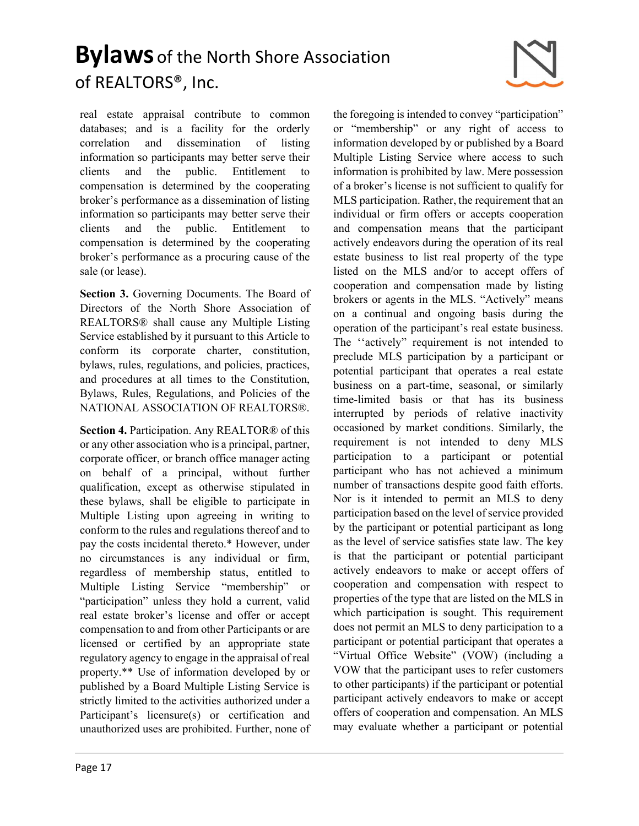

real estate appraisal contribute to common databases; and is a facility for the orderly correlation and dissemination of listing information so participants may better serve their clients and the public. Entitlement to compensation is determined by the cooperating broker's performance as a dissemination of listing information so participants may better serve their clients and the public. Entitlement compensation is determined by the cooperating broker's performance as a procuring cause of the sale (or lease).

Section 3. Governing Documents. The Board of Directors of the North Shore Association of REALTORS® shall cause any Multiple Listing Service established by it pursuant to this Article to conform its corporate charter, constitution, bylaws, rules, regulations, and policies, practices, and procedures at all times to the Constitution, Bylaws, Rules, Regulations, and Policies of the NATIONAL ASSOCIATION OF REALTORS®.

Section 4. Participation. Any REALTOR® of this or any other association who is a principal, partner, corporate officer, or branch office manager acting on behalf of a principal, without further qualification, except as otherwise stipulated in these bylaws, shall be eligible to participate in Multiple Listing upon agreeing in writing to conform to the rules and regulations thereof and to pay the costs incidental thereto.\* However, under no circumstances is any individual or firm, regardless of membership status, entitled to Multiple Listing Service "membership" or "participation" unless they hold a current, valid real estate broker's license and offer or accept compensation to and from other Participants or are licensed or certified by an appropriate state regulatory agency to engage in the appraisal of real property.\*\* Use of information developed by or published by a Board Multiple Listing Service is strictly limited to the activities authorized under a Participant's licensure(s) or certification and unauthorized uses are prohibited. Further, none of

the foregoing is intended to convey "participation" or "membership" or any right of access to information developed by or published by a Board Multiple Listing Service where access to such information is prohibited by law. Mere possession of a broker's license is not sufficient to qualify for MLS participation. Rather, the requirement that an individual or firm offers or accepts cooperation and compensation means that the participant actively endeavors during the operation of its real estate business to list real property of the type listed on the MLS and/or to accept offers of cooperation and compensation made by listing brokers or agents in the MLS. "Actively" means on a continual and ongoing basis during the operation of the participant's real estate business. The ''actively" requirement is not intended to preclude MLS participation by a participant or potential participant that operates a real estate business on a part-time, seasonal, or similarly time-limited basis or that has its business interrupted by periods of relative inactivity occasioned by market conditions. Similarly, the requirement is not intended to deny MLS participation to a participant or potential participant who has not achieved a minimum number of transactions despite good faith efforts. Nor is it intended to permit an MLS to deny participation based on the level of service provided by the participant or potential participant as long as the level of service satisfies state law. The key is that the participant or potential participant actively endeavors to make or accept offers of cooperation and compensation with respect to properties of the type that are listed on the MLS in which participation is sought. This requirement does not permit an MLS to deny participation to a participant or potential participant that operates a "Virtual Office Website" (VOW) (including a VOW that the participant uses to refer customers to other participants) if the participant or potential participant actively endeavors to make or accept offers of cooperation and compensation. An MLS may evaluate whether a participant or potential